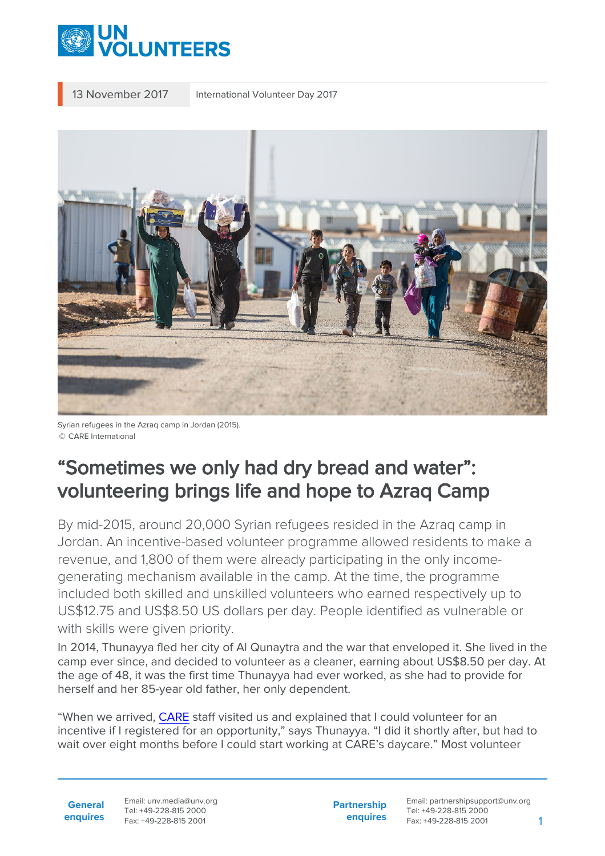

13 November 2017 International Volunteer Day 2017



Syrian refugees in the Azraq camp in Jordan (2015). © CARE International

## "Sometimes we only had dry bread and water": volunteering brings life and hope to Azraq Camp

By mid-2015, around 20,000 Syrian refugees resided in the Azraq camp in Jordan. An incentive-based volunteer programme allowed residents to make a revenue, and 1,800 of them were already participating in the only incomegenerating mechanism available in the camp. At the time, the programme included both skilled and unskilled volunteers who earned respectively up to US\$12.75 and US\$8.50 US dollars per day. People identified as vulnerable or with skills were given priority.

In 2014, Thunayya fled her city of Al Qunaytra and the war that enveloped it. She lived in the camp ever since, and decided to volunteer as a cleaner, earning about US\$8.50 per day. At the age of 48, it was the first time Thunayya had ever worked, as she had to provide for herself and her 85-year old father, her only dependent.

"When we arrived, [CARE](https://www.care.org/country/jordan) staff visited us and explained that I could volunteer for an incentive if I registered for an opportunity," says Thunayya. "I did it shortly after, but had to wait over eight months before I could start working at CARE's daycare." Most volunteer

**General enquires** Email: unv.media@unv.org Tel: +49-228-815 2000 Fax: +49-228-815 2001

**Partnership enquires**

Email: partnershipsupport@unv.org Tel: +49-228-815 2000 Fax: +49-228-815 2001 1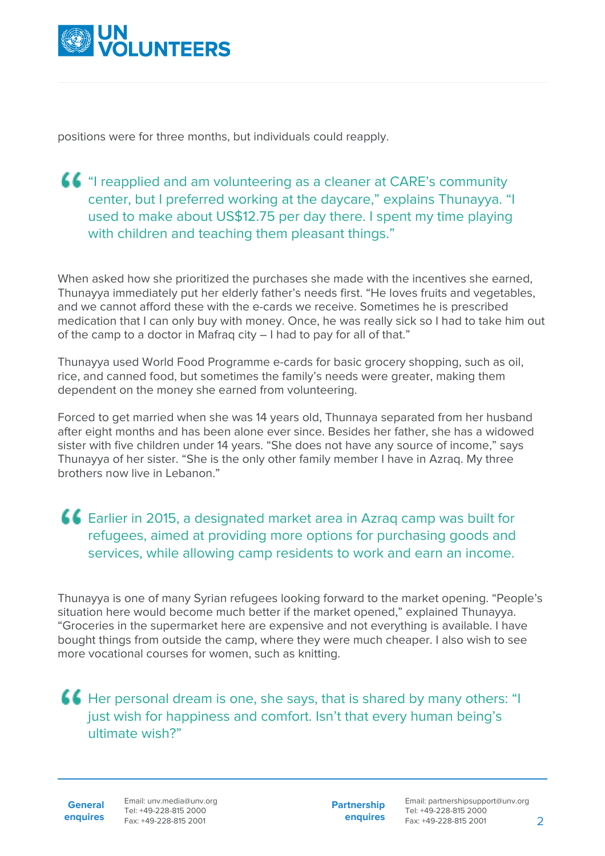

positions were for three months, but individuals could reapply.

## "I reapplied and am volunteering as a cleaner at CARE's community center, but I preferred working at the daycare," explains Thunayya. "I used to make about US\$12.75 per day there. I spent my time playing with children and teaching them pleasant things."

When asked how she prioritized the purchases she made with the incentives she earned, Thunayya immediately put her elderly father's needs first. "He loves fruits and vegetables, and we cannot afford these with the e-cards we receive. Sometimes he is prescribed medication that I can only buy with money. Once, he was really sick so I had to take him out of the camp to a doctor in Mafraq city – I had to pay for all of that."

Thunayya used World Food Programme e-cards for basic grocery shopping, such as oil, rice, and canned food, but sometimes the family's needs were greater, making them dependent on the money she earned from volunteering.

Forced to get married when she was 14 years old, Thunnaya separated from her husband after eight months and has been alone ever since. Besides her father, she has a widowed sister with five children under 14 years. "She does not have any source of income," says Thunayya of her sister. "She is the only other family member I have in Azraq. My three brothers now live in Lebanon."

Earlier in 2015, a designated market area in Azraq camp was built for refugees, aimed at providing more options for purchasing goods and services, while allowing camp residents to work and earn an income.

Thunayya is one of many Syrian refugees looking forward to the market opening. "People's situation here would become much better if the market opened," explained Thunayya. "Groceries in the supermarket here are expensive and not everything is available. I have bought things from outside the camp, where they were much cheaper. I also wish to see more vocational courses for women, such as knitting.

Her personal dream is one, she says, that is shared by many others: "I just wish for happiness and comfort. Isn't that every human being's ultimate wish?"

**General enquires** **Partnership enquires**